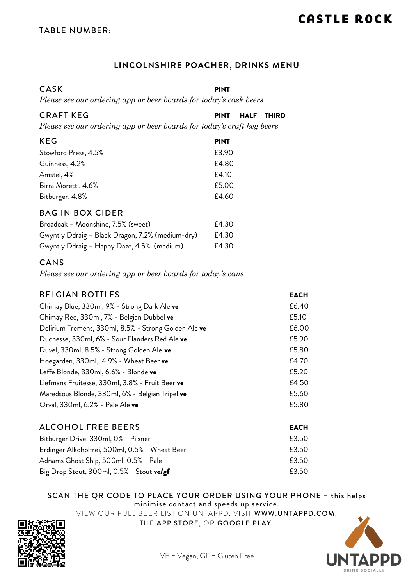#### **LINCOLNSHIRE POACHER**, **DRINKS MENU**

CASK PINT *Please see our ordering app or beer boards for today's cask beers*

| <b>CRAFT KEG</b>                                                       | <b>HALF</b><br><b>THIRD</b><br><b>PINT</b> |
|------------------------------------------------------------------------|--------------------------------------------|
| Please see our ordering app or beer boards for today's craft keg beers |                                            |
| <b>KEG</b>                                                             | <b>PINT</b>                                |
| Stowford Press, 4.5%                                                   | £3.90                                      |
| Guinness, 4.2%                                                         | £4.80                                      |
| Amstel, 4%                                                             | £4.10                                      |
| Birra Moretti, 4.6%                                                    | £5.00                                      |
| Bitburger, 4.8%                                                        | £4.60                                      |
| <b>BAG IN BOX CIDER</b>                                                |                                            |
| Broadoak - Moonshine, 7.5% (sweet)                                     | £4.30                                      |
| Gwynt y Ddraig - Black Dragon, 7.2% (medium-dry)                       | £4.30                                      |
| Gwynt y Ddraig - Happy Daze, 4.5% (medium)                             | £4.30                                      |

#### CANS

*Please see our ordering app or beer boards for today's cans*

| <b>BELGIAN BOTTLES</b>                               | <b>EACH</b> |
|------------------------------------------------------|-------------|
| Chimay Blue, 330ml, 9% - Strong Dark Ale ve          | £6.40       |
| Chimay Red, 330ml, 7% - Belgian Dubbel ve            | £5.10       |
| Delirium Tremens, 330ml, 8.5% - Strong Golden Ale ve | £6.00       |
| Duchesse, 330ml, 6% - Sour Flanders Red Ale ve       | £5.90       |
| Duvel, 330ml, 8.5% - Strong Golden Ale ve            | £5.80       |
| Hoegarden, 330ml, 4.9% - Wheat Beer ve               | £4.70       |
| Leffe Blonde, 330ml, 6.6% - Blonde ve                | £5.20       |
| Liefmans Fruitesse, 330ml, 3.8% - Fruit Beer ve      | £4.50       |
| Maredsous Blonde, 330ml, 6% - Belgian Tripel ve      | £5.60       |
| Orval, 330ml, 6.2% - Pale Ale ve                     | £5.80       |
|                                                      |             |
| <b>ALCOHOL FREE BEERS</b>                            | <b>EACH</b> |
| Bitburger Drive, 330ml, 0% - Pilsner                 | £3.50       |
| Erdinger Alkoholfrei, 500ml, 0.5% - Wheat Beer       | £3.50       |
| Adnams Ghost Ship, 500ml, 0.5% - Pale                | £3.50       |
| Big Drop Stout, 300ml, 0.5% - Stout velgf            | £3.50       |

#### SCAN THE QR CODE TO PLACE YOUR ORDER USING YOUR PHONE – this helps minimise contact and speeds up service.

VIEW OUR FULL BEER LIST ON UNTAPPD. VISIT WWW.UNTAPPD.COM,



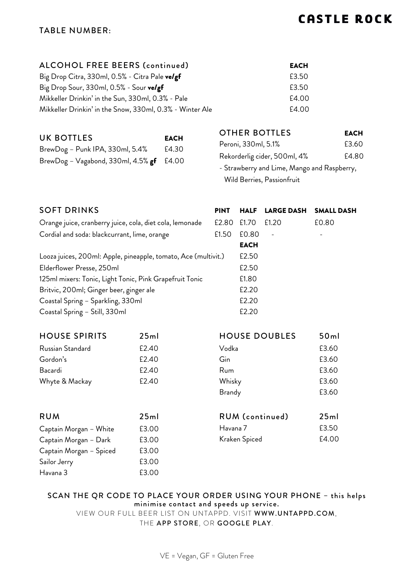#### TABLE NUMBER:

| ALCOHOL FREE BEERS (continued) | EACH |
|--------------------------------|------|
|--------------------------------|------|

Big Drop Citra, 330ml,  $0.5%$  - Citra Pale **ve/gf**  $\qquad \qquad$  £3.50 Big Drop Sour, 330ml,  $0.5\%$  - Sour velgf  $\qquad \qquad$  E3.50 Mikkeller Drinkin' in the Sun, 330ml, 0.3% - Pale  $\qquad \qquad$  £4.00 Mikkeller Drinkin' in the Snow, 330ml, 0.3% - Winter Ale £4.00

| UK BOTTLES                                    | <b>EACH</b> |
|-----------------------------------------------|-------------|
| BrewDog - Punk IPA, 330ml, 5.4%               | £4.30       |
| BrewDog - Vagabond, 330ml, $4.5\%$ gf $£4.00$ |             |

Captain Morgan – Dark £3.00 Captain Morgan – Spiced £3.00 Sailor Jerry 63.00 Havana 3 £3.00

| OTHER BOTTLES                               | <b>EACH</b> |
|---------------------------------------------|-------------|
| Peroni, 330ml, 5.1%                         | £3.60       |
| Rekorderlig cider, 500ml, 4%                | £4.80       |
| - Strawberry and Lime, Mango and Raspberry, |             |

Wild Berries, Passionfruit

| <b>SOFT DRINKS</b>                                             |       | <b>PINT</b>   | <b>HALF</b>   | <b>LARGE DASH</b>    | <b>SMALL DASH</b> |
|----------------------------------------------------------------|-------|---------------|---------------|----------------------|-------------------|
| Orange juice, cranberry juice, cola, diet cola, lemonade       |       | £2.80         | £1.70         | £1.20                | £0.80             |
| Cordial and soda: blackcurrant, lime, orange                   |       | £1.50         | £0.80         |                      |                   |
|                                                                |       |               | <b>EACH</b>   |                      |                   |
| Looza juices, 200ml: Apple, pineapple, tomato, Ace (multivit.) |       |               | £2.50         |                      |                   |
| Elderflower Presse, 250ml                                      |       |               | £2.50         |                      |                   |
| 125ml mixers: Tonic, Light Tonic, Pink Grapefruit Tonic        |       |               | £1.80         |                      |                   |
| Britvic, 200ml; Ginger beer, ginger ale                        |       |               | £2.20         |                      |                   |
| Coastal Spring - Sparkling, 330ml                              |       |               | £2.20         |                      |                   |
| Coastal Spring - Still, 330ml                                  |       |               | £2.20         |                      |                   |
| <b>HOUSE SPIRITS</b>                                           | 25ml  |               |               | <b>HOUSE DOUBLES</b> | 50ml              |
| Russian Standard                                               | £2.40 | Vodka         |               |                      | £3.60             |
| Gordon's                                                       | £2.40 | Gin           |               |                      | £3.60             |
| Bacardi                                                        | £2.40 | Rum           |               |                      | £3.60             |
| Whyte & Mackay                                                 | £2.40 | Whisky        |               |                      | £3.60             |
|                                                                |       | <b>Brandy</b> |               |                      | £3.60             |
| <b>RUM</b>                                                     | 25ml  |               |               | RUM (continued)      | 25ml              |
| Captain Morgan - White                                         | £3.00 | Havana 7      |               |                      | £3.50             |
| Captain Morgan - Dark                                          | £3.00 |               | Kraken Spiced |                      | £4.00             |

#### SCAN THE QR CODE TO PLACE YOUR ORDER USING YOUR PHONE – this helps minimise contact and speeds up service.

VIEW OUR FULL BEER LIST ON UNTAPPD. VISIT WWW.UNTAPPD.COM,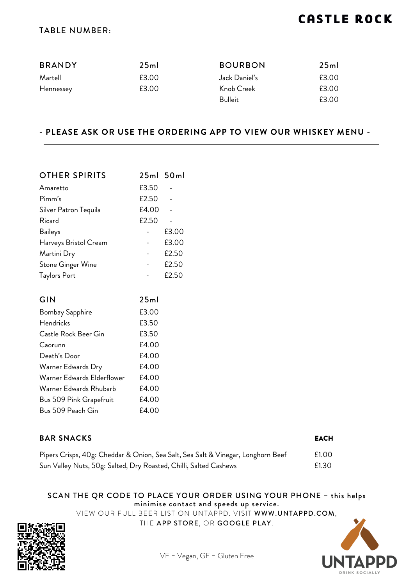#### TABLE NUMBER:

| <b>BRANDY</b> | 25ml  | <b>BOURBON</b> | 25ml  |
|---------------|-------|----------------|-------|
| Martell       | £3.00 | Jack Daniel's  | £3.00 |
| Hennessey     | £3.00 | Knob Creek     | £3.00 |
|               |       | Bulleit        | £3.00 |

#### **- PLEASE ASK OR USE THE ORDERING APP TO VIEW OUR WHISKEY MENU -**

| 25ml 50ml |       |
|-----------|-------|
| £3.50     |       |
| £2.50     |       |
| £4.00     |       |
| £2.50     |       |
|           | £3.00 |
|           | £3.00 |
|           | £2.50 |
|           | £2.50 |
|           | £2.50 |
|           |       |

| GIN                        | 25ml  |
|----------------------------|-------|
| <b>Bombay Sapphire</b>     | £3.00 |
| <b>Hendricks</b>           | £3.50 |
| Castle Rock Beer Gin       | £3.50 |
| Caorunn                    | £4.00 |
| Death's Door               | £4.00 |
| Warner Edwards Dry         | £4.00 |
| Warner Edwards Elderflower | £4.00 |
| Warner Edwards Rhubarb     | £4.00 |
| Bus 509 Pink Grapefruit    | £4.00 |
| Bus 509 Peach Gin          | £4.00 |

| <b>BAR SNACKS</b>                                                                | <b>EACH</b> |
|----------------------------------------------------------------------------------|-------------|
| Pipers Crisps, 40g: Cheddar & Onion, Sea Salt, Sea Salt & Vinegar, Longhorn Beef | £1.00       |
| Sun Valley Nuts, 50g: Salted, Dry Roasted, Chilli, Salted Cashews                | £1.30       |

#### SCAN THE QR CODE TO PLACE YOUR ORDER USING YOUR PHONE – this helps minimise contact and speeds up service.

VIEW OUR FULL BEER LIST ON UNTAPPD. VISIT WWW.UNTAPPD.COM,